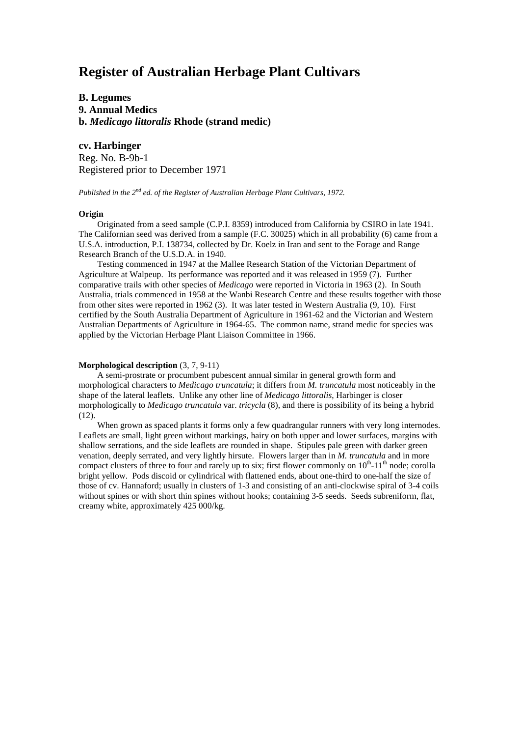# **Register of Australian Herbage Plant Cultivars**

**B. Legumes 9. Annual Medics b.** *Medicago littoralis* **Rhode (strand medic)**

**cv. Harbinger** Reg. No. B-9b-1 Registered prior to December 1971

*Published in the 2nd ed. of the Register of Australian Herbage Plant Cultivars, 1972.*

## **Origin**

Originated from a seed sample (C.P.I. 8359) introduced from California by CSIRO in late 1941. The Californian seed was derived from a sample (F.C. 30025) which in all probability (6) came from a U.S.A. introduction, P.I. 138734, collected by Dr. Koelz in Iran and sent to the Forage and Range Research Branch of the U.S.D.A. in 1940.

Testing commenced in 1947 at the Mallee Research Station of the Victorian Department of Agriculture at Walpeup. Its performance was reported and it was released in 1959 (7). Further comparative trails with other species of *Medicago* were reported in Victoria in 1963 (2). In South Australia, trials commenced in 1958 at the Wanbi Research Centre and these results together with those from other sites were reported in 1962 (3). It was later tested in Western Australia (9, 10). First certified by the South Australia Department of Agriculture in 1961-62 and the Victorian and Western Australian Departments of Agriculture in 1964-65. The common name, strand medic for species was applied by the Victorian Herbage Plant Liaison Committee in 1966.

#### **Morphological description** (3, 7, 9-11)

A semi-prostrate or procumbent pubescent annual similar in general growth form and morphological characters to *Medicago truncatula*; it differs from *M. truncatula* most noticeably in the shape of the lateral leaflets. Unlike any other line of *Medicago littoralis*, Harbinger is closer morphologically to *Medicago truncatula* var. *tricycla* (8), and there is possibility of its being a hybrid (12).

When grown as spaced plants it forms only a few quadrangular runners with very long internodes. Leaflets are small, light green without markings, hairy on both upper and lower surfaces, margins with shallow serrations, and the side leaflets are rounded in shape. Stipules pale green with darker green venation, deeply serrated, and very lightly hirsute. Flowers larger than in *M. truncatula* and in more compact clusters of three to four and rarely up to six; first flower commonly on  $10^{th}$ -11<sup>th</sup> node; corolla bright yellow. Pods discoid or cylindrical with flattened ends, about one-third to one-half the size of those of cv. Hannaford; usually in clusters of 1-3 and consisting of an anti-clockwise spiral of 3-4 coils without spines or with short thin spines without hooks; containing 3-5 seeds. Seeds subreniform, flat, creamy white, approximately 425 000/kg.